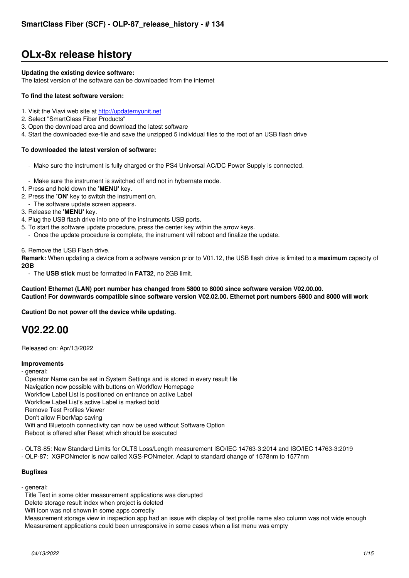# **OLx-8x release history**

#### **Updating the existing device software:**

The latest version of the software can be downloaded from the internet

#### **To find the latest software version:**

- 1. Visit the Viavi web site at http://updatemyunit.net
- 2. Select "SmartClass Fiber Products"
- 3. Open the download area and download the latest software
- 4. Start the downloaded exe-file and save the unzipped 5 individual files to the root of an USB flash drive

#### **To downloaded the latest [version of software:](http://updatemyunit.net)**

- Make sure the instrument is fully charged or the PS4 Universal AC/DC Power Supply is connected.
- Make sure the instrument is switched off and not in hybernate mode.
- 1. Press and hold down the **'MENU'** key.
- 2. Press the **'ON'** key to switch the instrument on.
- The software update screen appears.
- 3. Release the **'MENU'** key.
- 4. Plug the USB flash drive into one of the instruments USB ports.
- 5. To start the software update procedure, press the center key within the arrow keys.
- Once the update procedure is complete, the instrument will reboot and finalize the update.

6. Remove the USB Flash drive.

**Remark:** When updating a device from a software version prior to V01.12, the USB flash drive is limited to a **maximum** capacity of **2GB**

- The **USB stick** must be formatted in **FAT32**, no 2GB limit.

**Caution! Ethernet (LAN) port number has changed from 5800 to 8000 since software version V02.00.00. Caution! For downwards compatible since software version V02.02.00. Ethernet port numbers 5800 and 8000 will work**

**Caution! Do not power off the device while updating.**

### **V02.22.00**

Released on: Apr/13/2022

#### **Improvements**

- general:

 Operator Name can be set in System Settings and is stored in every result file Navigation now possible with buttons on Workflow Homepage Workflow Label List is positioned on entrance on active Label Workflow Label List's active Label is marked bold Remove Test Profiles Viewer Don't allow FiberMap saving Wifi and Bluetooth connectivity can now be used without Software Option Reboot is offered after Reset which should be executed

- OLTS-85: New Standard Limits for OLTS Loss/Length measurement ISO/IEC 14763-3:2014 and ISO/IEC 14763-3:2019

- OLP-87: XGPONmeter is now called XGS-PONmeter. Adapt to standard change of 1578nm to 1577nm

#### **Bugfixes**

- general:

Title Text in some older measurement applications was disrupted

Delete storage result index when project is deleted

Wifi Icon was not shown in some apps correctly

 Measurement storage view in inspection app had an issue with display of test profile name also column was not wide enough Measurement applications could been unresponsive in some cases when a list menu was empty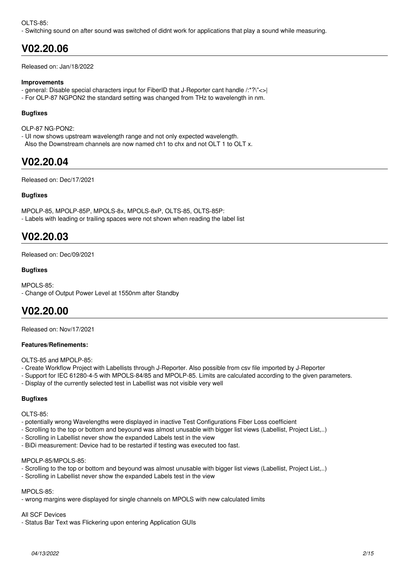#### OLTS-85:

- Switching sound on after sound was switched of didnt work for applications that play a sound while measuring.

### **V02.20.06**

Released on: Jan/18/2022

#### **Improvements**

- general: Disable special characters input for FiberID that J-Reporter cant handle /:\*?\"<>|
- For OLP-87 NGPON2 the standard setting was changed from THz to wavelength in nm.

#### **Bugfixes**

OLP-87 NG-PON2:

- UI now shows upstream wavelength range and not only expected wavelength. Also the Downstream channels are now named ch1 to chx and not OLT 1 to OLT x.

### **V02.20.04**

Released on: Dec/17/2021

#### **Bugfixes**

MPOLP-85, MPOLP-85P, MPOLS-8x, MPOLS-8xP, OLTS-85, OLTS-85P: - Labels with leading or trailing spaces were not shown when reading the label list

### **V02.20.03**

Released on: Dec/09/2021

#### **Bugfixes**

MPOLS-85: - Change of Output Power Level at 1550nm after Standby

### **V02.20.00**

Released on: Nov/17/2021

#### **Features/Refinements:**

OLTS-85 and MPOLP-85:

- Create Workflow Project with Labellists through J-Reporter. Also possible from csv file imported by J-Reporter
- Support for IEC 61280-4-5 with MPOLS-84/85 and MPOLP-85. Limits are calculated according to the given parameters.
- Display of the currently selected test in Labellist was not visible very well

#### **Bugfixes**

 $OLI$  T.S-85:

- potentially wrong Wavelengths were displayed in inactive Test Configurations Fiber Loss coefficient
- Scrolling to the top or bottom and beyound was almost unusable with bigger list views (Labellist, Project List,..)
- Scrolling in Labellist never show the expanded Labels test in the view
- BiDi measurement: Device had to be restarted if testing was executed too fast.

#### MPOLP-85/MPOLS-85:

- Scrolling to the top or bottom and beyound was almost unusable with bigger list views (Labellist, Project List,..)
- Scrolling in Labellist never show the expanded Labels test in the view

#### MPOLS-85:

- wrong margins were displayed for single channels on MPOLS with new calculated limits

#### All SCF Devices

- Status Bar Text was Flickering upon entering Application GUIs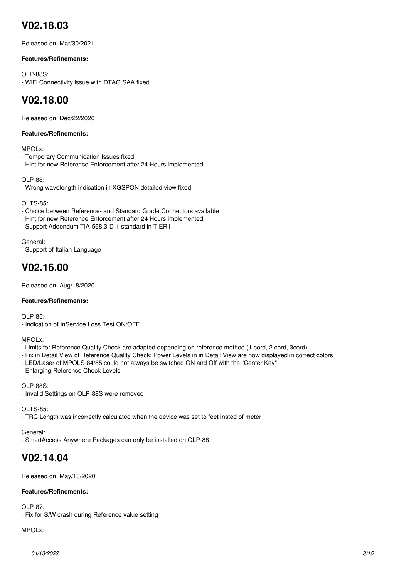# **V02.18.03**

Released on: Mar/30/2021

#### **Features/Refinements:**

OLP-88S: - WiFi Connectivity issue with DTAG SAA fixed

### **V02.18.00**

Released on: Dec/22/2020

### **Features/Refinements:**

MPOL<sub>x</sub><sup>.</sup>

- Temporary Communication Issues fixed
- Hint for new Reference Enforcement after 24 Hours implemented

OLP-88:

- Wrong wavelength indication in XGSPON detailed view fixed

 $OLI$  TS-85:

- Choice between Reference- and Standard Grade Connectors available
- Hint for new Reference Enforcement after 24 Hours implemented
- Support Addendum TIA-568.3-D-1 standard in TIER1

General:

- Support of Italian Language

# **V02.16.00**

Released on: Aug/18/2020

### **Features/Refinements:**

OLP-85:

- Indication of InService Loss Test ON/OFF

MPOLx:

- Limits for Reference Quality Check are adapted depending on reference method (1 cord, 2 cord, 3cord)
- Fix in Detail View of Reference Quality Check: Power Levels in in Detail View are now displayed in correct colors
- LED/Laser of MPOLS-84/85 could not always be switched ON and Off with the "Center Key"
- Enlarging Reference Check Levels

OLP-88S:

- Invalid Settings on OLP-88S were removed

 $OLI$  TS-85:

- TRC Length was incorrectly calculated when the device was set to feet insted of meter

General:

- SmartAccess Anywhere Packages can only be installed on OLP-88

# **V02.14.04**

Released on: May/18/2020

### **Features/Refinements:**

OLP-87:

- Fix for S/W crash during Reference value setting

MPOLx: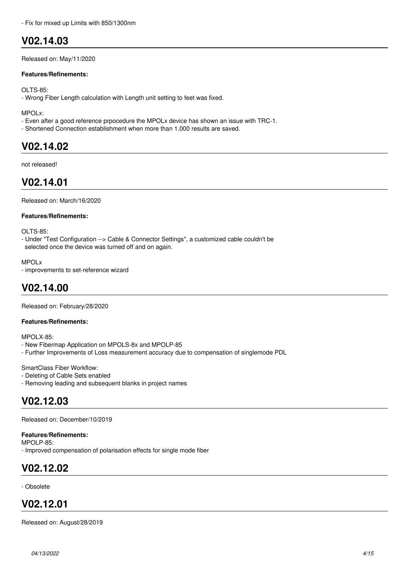### **V02.14.03**

Released on: May/11/2020

### **Features/Refinements:**

OLTS-85:

- Wrong Fiber Length calculation with Length unit setting to feet was fixed.

MPOLx:

- Even after a good reference prpocedure the MPOLx device has shown an issue with TRC-1.
- Shortened Connection establishment when more than 1.000 results are saved.

### **V02.14.02**

not released!

### **V02.14.01**

Released on: March/16/2020

### **Features/Refinements:**

OLTS-85:

- Under "Test Configuration --> Cable & Connector Settings", a customized cable couldn't be
- selected once the device was turned off and on again.

### MPOLx

- improvements to set-reference wizard

# **V02.14.00**

Released on: February/28/2020

#### **Features/Refinements:**

MPOLX-85:

- New Fibermap Application on MPOLS-8x and MPOLP-85
- Further Improvements of Loss measurement accuracy due to compensation of singlemode PDL

SmartClass Fiber Workflow:

- Deleting of Cable Sets enabled
- Removing leading and subsequent blanks in project names

# **V02.12.03**

Released on: December/10/2019

**Features/Refinements:** MPOLP-85: - Improved compensation of polarisation effects for single mode fiber

# **V02.12.02**

- Obsolete

# **V02.12.01**

Released on: August/28/2019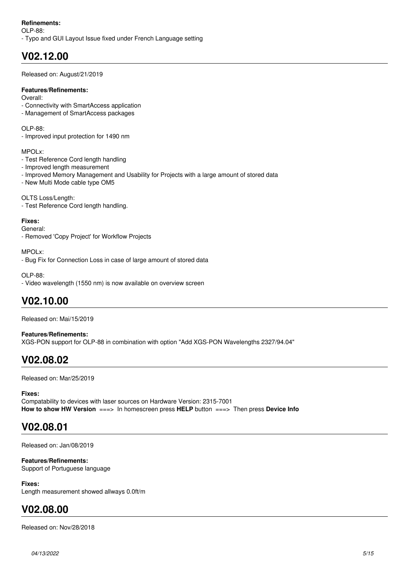# **V02.12.00**

#### Released on: August/21/2019

### **Features/Refinements:**

Overall:

- Connectivity with SmartAccess application
- Management of SmartAccess packages

OLP-88:

- Improved input protection for 1490 nm

MPOLx:

- Test Reference Cord length handling
- Improved length measurement
- Improved Memory Management and Usability for Projects with a large amount of stored data
- New Multi Mode cable type OM5

OLTS Loss/Length:

- Test Reference Cord length handling.

**Fixes:**

General: - Removed 'Copy Project' for Workflow Projects

MPOLx:

- Bug Fix for Connection Loss in case of large amount of stored data

OLP-88:

- Video wavelength (1550 nm) is now available on overview screen

# **V02.10.00**

Released on: Mai/15/2019

**Features/Refinements:** XGS-PON support for OLP-88 in combination with option "Add XGS-PON Wavelengths 2327/94.04"

# **V02.08.02**

Released on: Mar/25/2019

#### **Fixes:**

Compatability to devices with laser sources on Hardware Version: 2315-7001 **How to show HW Version** ===> In homescreen press **HELP** button ===> Then press **Device Info**

# **V02.08.01**

Released on: Jan/08/2019

**Features/Refinements:** Support of Portuguese language

**Fixes:** Length measurement showed allways 0.0ft/m

# **V02.08.00**

Released on: Nov/28/2018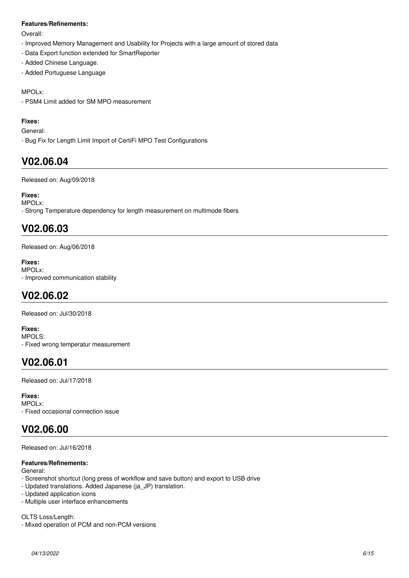#### **Features/Refinements:**

Overall:

- Improved Memory Management and Usability for Projects with a large amount of stored data
- Data Export function extended for SmartReporter
- Added Chinese Language.
- Added Portuguese Language

MPOLx:

- PSM4 Limit added for SM MPO measurement

### **Fixes:**

General:

- Bug Fix for Length Limit Import of CertiFi MPO Test Configurations

# **V02.06.04**

Released on: Aug/09/2018

**Fixes:** MPOLx: - Strong Temperature dependency for length measurement on multimode fibers

# **V02.06.03**

Released on: Aug/06/2018

**Fixes:** MPOLx: - Improved communication stability

# **V02.06.02**

Released on: Jul/30/2018

**Fixes:** MPOLS: - Fixed wrong temperatur measurement

# **V02.06.01**

Released on: Jul/17/2018

**Fixes:** MPOLx: - Fixed occasional connection issue

# **V02.06.00**

Released on: Jul/16/2018

### **Features/Refinements:**

General:

- Screenshot shortcut (long press of workflow and save button) and export to USB drive
- Updated translations. Added Japanese (ja\_JP) translation.
- Updated application icons
- Multiple user interface enhancements

OLTS Loss/Length:

- Mixed operation of PCM and non-PCM versions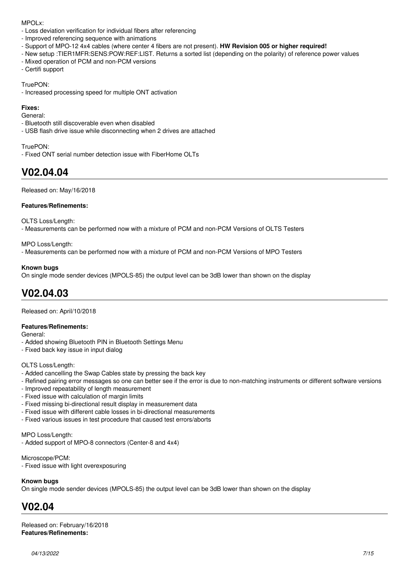MPOLx:

- Loss deviation verification for individual fibers after referencing
- Improved referencing sequence with animations
- Support of MPO-12 4x4 cables (where center 4 fibers are not present). **HW Revision 005 or higher required!**
- New setup :TIER1MFR:SENS:POW:REF:LIST. Returns a sorted list (depending on the polarity) of reference power values
- Mixed operation of PCM and non-PCM versions
- Certifi support

TruePON:

- Increased processing speed for multiple ONT activation

### **Fixes:**

General:

- Bluetooth still discoverable even when disabled
- USB flash drive issue while disconnecting when 2 drives are attached

TruePON:

- Fixed ONT serial number detection issue with FiberHome OLTs

### **V02.04.04**

Released on: May/16/2018

#### **Features/Refinements:**

OLTS Loss/Length:

- Measurements can be performed now with a mixture of PCM and non-PCM Versions of OLTS Testers

#### MPO Loss/Length:

- Measurements can be performed now with a mixture of PCM and non-PCM Versions of MPO Testers

#### **Known bugs**

On single mode sender devices (MPOLS-85) the output level can be 3dB lower than shown on the display

# **V02.04.03**

Released on: April/10/2018

### **Features/Refinements:**

General:

- Added showing Bluetooth PIN in Bluetooth Settings Menu
- Fixed back key issue in input dialog

#### OLTS Loss/Length:

- Added cancelling the Swap Cables state by pressing the back key
- Refined pairing error messages so one can better see if the error is due to non-matching instruments or different software versions
- Improved repeatability of length measurement
- Fixed issue with calculation of margin limits
- Fixed missing bi-directional result display in measurement data
- Fixed issue with different cable losses in bi-directional measurements
- Fixed various issues in test procedure that caused test errors/aborts

#### MPO Loss/Length:

- Added support of MPO-8 connectors (Center-8 and 4x4)

Microscope/PCM:

- Fixed issue with light overexposuring

#### **Known bugs**

On single mode sender devices (MPOLS-85) the output level can be 3dB lower than shown on the display

# **V02.04**

Released on: February/16/2018 **Features/Refinements:**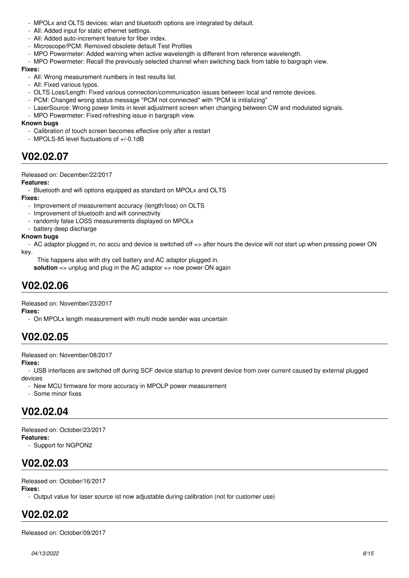- MPOLx and OLTS devices: wlan and bluetooth options are integrated by default.
- All: Added input for static ethernet settings.
- All: Added auto-increment feature for fiber index.
- Microscope/PCM: Removed obsolete default Test Profiles
- MPO Powermeter: Added warning when active wavelength is different from reference wavelength.
- MPO Powermeter: Recall the previously selected channel when switching back from table to bargraph view.

#### **Fixes:**

- All: Wrong measurement numbers in test results list.
- All: Fixed various typos.
- OLTS Loss/Length: Fixed various connection/communication issues between local and remote devices.
- PCM: Changed wrong status message "PCM not connected" with "PCM is initializing"
- LaserSource: Wrong power limits in level adjustment screen when changing between CW and modulated signals.
- MPO Powermeter: Fixed refreshing issue in bargraph view.

#### **Known bugs**

- Calibration of touch screen becomes effective only after a restart
- MPOLS-85 level fluctuations of +/-0.1dB

# **V02.02.07**

#### Released on: December/22/2017

#### **Features:**

- Bluetooth and wifi options equipped as standard on MPOLx and OLTS

#### **Fixes:**

- Improvement of measurement accuracy (length/loss) on OLTS
- Improvement of bluetooth and wifi connectivity
- randomly false LOSS measurements displayed on MPOLx
- battery deep discharge

### **Known bugs**

 - AC adaptor plugged in, no accu and device is switched off => after hours the device will not start up when pressing power ON key.

This happens also with dry cell battery and AC adaptor plugged in.

**solution** => unplug and plug in the AC adaptor => now power ON again

### **V02.02.06**

Released on: November/23/2017

**Fixes:**

- On MPOLx length measurement with multi mode sender was uncertain

### **V02.02.05**

Released on: November/08/2017

**Fixes:**

 - USB interfaces are switched off during SCF device startup to prevent device from over current caused by external plugged devices

- New MCU firmware for more accuracy in MPOLP power measurement

- Some minor fixes

### **V02.02.04**

Released on: October/23/2017 **Features:**

- Support for NGPON2

# **V02.02.03**

Released on: October/16/2017

### **Fixes:**

- Output value for laser source ist now adjustable during calibration (not for customer use)

# **V02.02.02**

Released on: October/09/2017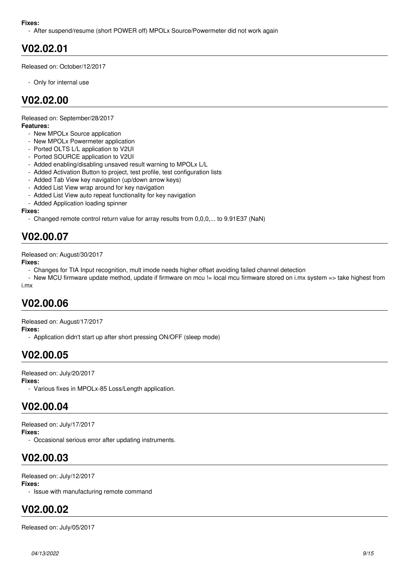#### **Fixes:**

- After suspend/resume (short POWER off) MPOLx Source/Powermeter did not work again

# **V02.02.01**

Released on: October/12/2017

- Only for internal use

# **V02.02.00**

Released on: September/28/2017 **Features:**

- New MPOLx Source application
- New MPOLx Powermeter application
- Ported OLTS L/L application to V2UI
- Ported SOURCE application to V2UI
- Added enabling/disabling unsaved result warning to MPOLx L/L
- Added Activation Button to project, test profile, test configuration lists
- Added Tab View key navigation (up/down arrow keys)
- Added List View wrap around for key navigation
- Added List View auto repeat functionality for key navigation
- Added Application loading spinner

#### **Fixes:**

- Changed remote control return value for array results from 0,0,0,... to 9.91E37 (NaN)

### **V02.00.07**

Released on: August/30/2017

**Fixes:**

- Changes for TIA Input recognition, mult imode needs higher offset avoiding failed channel detection

- New MCU firmware update method, update if firmware on mcu != local mcu firmware stored on i.mx system => take highest from i.mx

### **V02.00.06**

Released on: August/17/2017

**Fixes:**

- Application didn't start up after short pressing ON/OFF (sleep mode)

### **V02.00.05**

Released on: July/20/2017

#### **Fixes:**

- Various fixes in MPOLx-85 Loss/Length application.

### **V02.00.04**

Released on: July/17/2017 **Fixes:**

- Occasional serious error after updating instruments.

# **V02.00.03**

Released on: July/12/2017 **Fixes:**

- Issue with manufacturing remote command

# **V02.00.02**

Released on: July/05/2017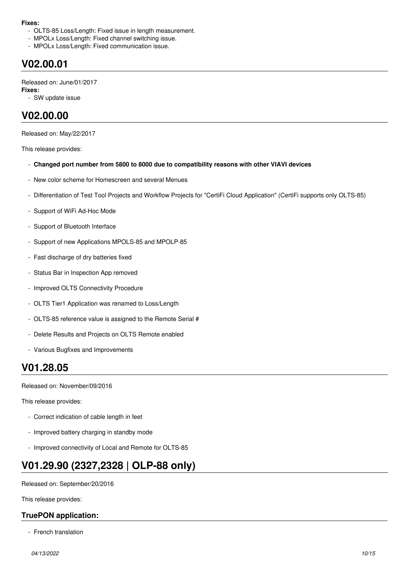#### **Fixes:**

- OLTS-85 Loss/Length: Fixed issue in length measurement.
- MPOLx Loss/Length: Fixed channel switching issue.
- MPOLx Loss/Length: Fixed communication issue.

### **V02.00.01**

Released on: June/01/2017 **Fixes:**

- SW update issue

# **V02.00.00**

Released on: May/22/2017

This release provides:

- **Changed port number from 5800 to 8000 due to compatibility reasons with other VIAVI devices**
- New color scheme for Homescreen and several Menues
- Differentiation of Test Tool Projects and Workflow Projects for "CertiFi Cloud Application" (CertiFi supports only OLTS-85)
- Support of WiFi Ad-Hoc Mode
- Support of Bluetooth Interface
- Support of new Applications MPOLS-85 and MPOLP-85
- Fast discharge of dry batteries fixed
- Status Bar in Inspection App removed
- Improved OLTS Connectivity Procedure
- OLTS Tier1 Application was renamed to Loss/Length
- OLTS-85 reference value is assigned to the Remote Serial #
- Delete Results and Projects on OLTS Remote enabled
- Various Bugfixes and Improvements

### **V01.28.05**

Released on: November/09/2016

This release provides:

- Correct indication of cable length in feet
- Improved battery charging in standby mode
- Improved connectivity of Local and Remote for OLTS-85

# **V01.29.90 (2327,2328 | OLP-88 only)**

Released on: September/20/2016

This release provides:

### **TruePON application:**

- French translation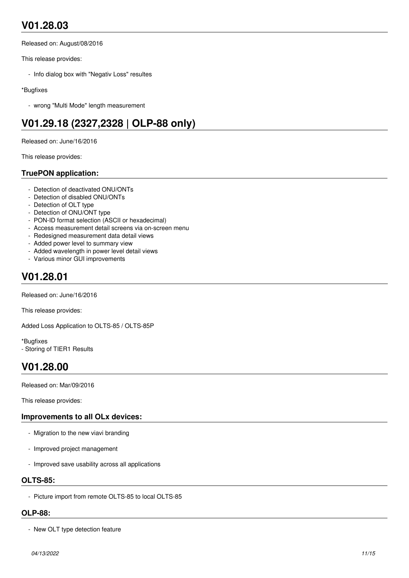# **V01.28.03**

Released on: August/08/2016

This release provides:

- Info dialog box with "Negativ Loss" resultes

### \*Bugfixes

- wrong "Multi Mode" length measurement

# **V01.29.18 (2327,2328 | OLP-88 only)**

Released on: June/16/2016

This release provides:

### **TruePON application:**

- Detection of deactivated ONU/ONTs
- Detection of disabled ONU/ONTs
- Detection of OLT type
- Detection of ONU/ONT type
- PON-ID format selection (ASCII or hexadecimal)
- Access measurement detail screens via on-screen menu
- Redesigned measurement data detail views
- Added power level to summary view
- Added wavelength in power level detail views
- Various minor GUI improvements

# **V01.28.01**

Released on: June/16/2016

This release provides:

Added Loss Application to OLTS-85 / OLTS-85P

\*Bugfixes - Storing of TIER1 Results

# **V01.28.00**

Released on: Mar/09/2016

This release provides:

### **Improvements to all OLx devices:**

- Migration to the new viavi branding
- Improved project management
- Improved save usability across all applications

### **OLTS-85:**

- Picture import from remote OLTS-85 to local OLTS-85

### **OLP-88:**

- New OLT type detection feature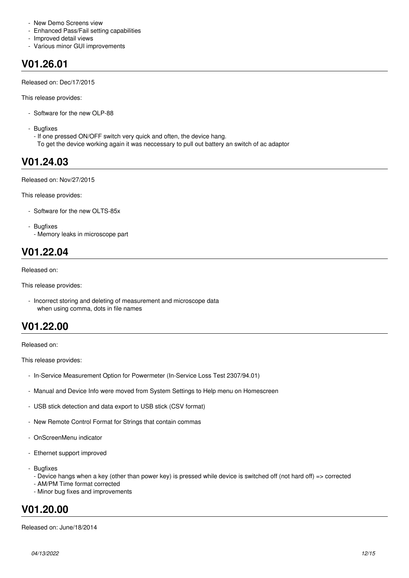- New Demo Screens view
- Enhanced Pass/Fail setting capabilities
- Improved detail views
- Various minor GUI improvements

### **V01.26.01**

Released on: Dec/17/2015

This release provides:

- Software for the new OLP-88
- Bugfixes
	- If one pressed ON/OFF switch very quick and often, the device hang.
	- To get the device working again it was neccessary to pull out battery an switch of ac adaptor

### **V01.24.03**

Released on: Nov/27/2015

This release provides:

- Software for the new OLTS-85x
- Bugfixes - Memory leaks in microscope part

# **V01.22.04**

Released on:

This release provides:

 - Incorrect storing and deleting of measurement and microscope data when using comma, dots in file names

### **V01.22.00**

Released on:

This release provides:

- In-Service Measurement Option for Powermeter (In-Service Loss Test 2307/94.01)
- Manual and Device Info were moved from System Settings to Help menu on Homescreen
- USB stick detection and data export to USB stick (CSV format)
- New Remote Control Format for Strings that contain commas
- OnScreenMenu indicator
- Ethernet support improved
- Bugfixes
	- Device hangs when a key (other than power key) is pressed while device is switched off (not hard off) => corrected
	- AM/PM Time format corrected
	- Minor bug fixes and improvements

### **V01.20.00**

Released on: June/18/2014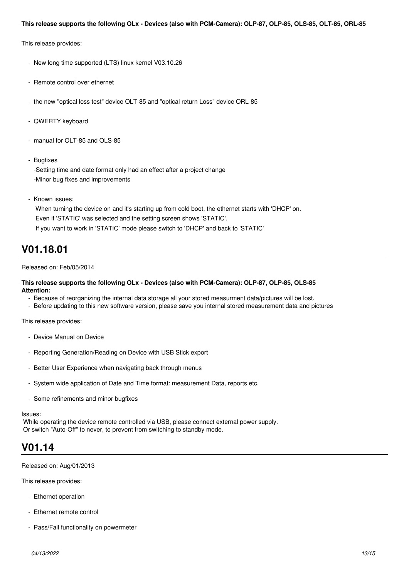#### **This release supports the following OLx - Devices (also with PCM-Camera): OLP-87, OLP-85, OLS-85, OLT-85, ORL-85**

This release provides:

- New long time supported (LTS) linux kernel V03.10.26
- Remote control over ethernet
- the new "optical loss test" device OLT-85 and "optical return Loss" device ORL-85
- QWERTY keyboard
- manual for OLT-85 and OLS-85
- Bugfixes

-Setting time and date format only had an effect after a project change -Minor bug fixes and improvements

- Known issues:

 When turning the device on and it's starting up from cold boot, the ethernet starts with 'DHCP' on. Even if 'STATIC' was selected and the setting screen shows 'STATIC'. If you want to work in 'STATIC' mode please switch to 'DHCP' and back to 'STATIC'

### **V01.18.01**

Released on: Feb/05/2014

#### **This release supports the following OLx - Devices (also with PCM-Camera): OLP-87, OLP-85, OLS-85 Attention:**

- Because of reorganizing the internal data storage all your stored measurment data/pictures will be lost.
- Before updating to this new software version, please save you internal stored measurement data and pictures

This release provides:

- Device Manual on Device
- Reporting Generation/Reading on Device with USB Stick export
- Better User Experience when navigating back through menus
- System wide application of Date and Time format: measurement Data, reports etc.
- Some refinements and minor bugfixes

Issues:

 While operating the device remote controlled via USB, please connect external power supply. Or switch "Auto-Off" to never, to prevent from switching to standby mode.

### **V01.14**

Released on: Aug/01/2013

This release provides:

- Ethernet operation
- Ethernet remote control
- Pass/Fail functionality on powermeter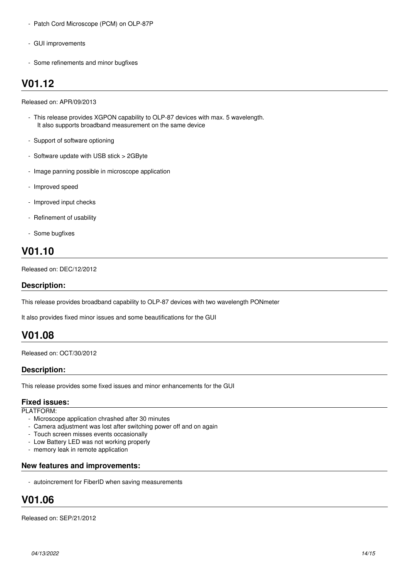- Patch Cord Microscope (PCM) on OLP-87P
- GUI improvements
- Some refinements and minor bugfixes

### **V01.12**

Released on: APR/09/2013

- This release provides XGPON capability to OLP-87 devices with max. 5 wavelength. It also supports broadband measurement on the same device
- Support of software optioning
- Software update with USB stick > 2GByte
- Image panning possible in microscope application
- Improved speed
- Improved input checks
- Refinement of usability
- Some bugfixes

### **V01.10**

Released on: DEC/12/2012

### **Description:**

This release provides broadband capability to OLP-87 devices with two wavelength PONmeter

It also provides fixed minor issues and some beautifications for the GUI

### **V01.08**

Released on: OCT/30/2012

### **Description:**

This release provides some fixed issues and minor enhancements for the GUI

### **Fixed issues:**

PLATFORM:

- Microscope application chrashed after 30 minutes
- Camera adjustment was lost after switching power off and on again
- Touch screen misses events occasionally
- Low Battery LED was not working properly
- memory leak in remote application

### **New features and improvements:**

- autoincrement for FiberID when saving measurements

### **V01.06**

Released on: SEP/21/2012